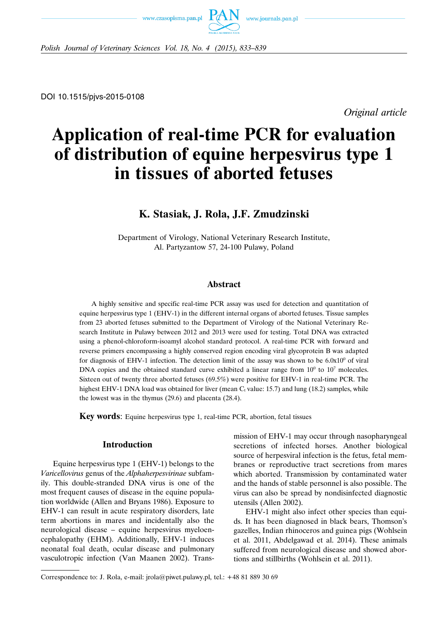



*Polish Journal of Veterinary Sciences Vol. 18, No. 4 (2015), 833–839*

*Original article*

# **Application of real-time PCR for evaluation of distribution of equine herpesvirus type 1 in tissues of aborted fetuses**

# **K. Stasiak, J. Rola, J.F. Zmudzinski**

Department of Virology, National Veterinary Research Institute, Al. Partyzantow 57, 24-100 Pulawy, Poland

# **Abstract**

A highly sensitive and specific real-time PCR assay was used for detection and quantitation of equine herpesvirus type 1 (EHV-1) in the different internal organs of aborted fetuses. Tissue samples from 23 aborted fetuses submitted to the Department of Virology of the National Veterinary Research Institute in Pulawy between 2012 and 2013 were used for testing. Total DNA was extracted using a phenol-chloroform-isoamyl alcohol standard protocol. A real-time PCR with forward and reverse primers encompassing a highly conserved region encoding viral glycoprotein B was adapted for diagnosis of EHV-1 infection. The detection limit of the assay was shown to be  $6.0x10^{\circ}$  of viral DNA copies and the obtained standard curve exhibited a linear range from  $10^0$  to  $10^7$  molecules. Sixteen out of twenty three aborted fetuses (69.5%) were positive for EHV-1 in real-time PCR. The highest EHV-1 DNA load was obtained for liver (mean  $C_t$  value: 15.7) and lung (18.2) samples, while the lowest was in the thymus (29.6) and placenta (28.4).

**Key words**: Equine herpesvirus type 1, real-time PCR, abortion, fetal tissues

# **Introduction**

Equine herpesvirus type 1 (EHV-1) belongs to the *Varicellovirus* genus of the *Alphaherpesvirinae* subfamily. This double-stranded DNA virus is one of the most frequent causes of disease in the equine population worldwide (Allen and Bryans 1986). Exposure to EHV-1 can result in acute respiratory disorders, late term abortions in mares and incidentally also the neurological disease – equine herpesvirus myeloencephalopathy (EHM). Additionally, EHV-1 induces neonatal foal death, ocular disease and pulmonary vasculotropic infection (Van Maanen 2002). Transmission of EHV-1 may occur through nasopharyngeal secretions of infected horses. Another biological source of herpesviral infection is the fetus, fetal membranes or reproductive tract secretions from mares which aborted. Transmission by contaminated water and the hands of stable personnel is also possible. The virus can also be spread by nondisinfected diagnostic utensils (Allen 2002).

EHV-1 might also infect other species than equids. It has been diagnosed in black bears, Thomson's gazelles, Indian rhinoceros and guinea pigs (Wohlsein et al. 2011, Abdelgawad et al. 2014). These animals suffered from neurological disease and showed abortions and stillbirths (Wohlsein et al. 2011).

Correspondence to: J. Rola, e-mail: jrola@piwet.pulawy.pl, tel.: +48 81 889 30 69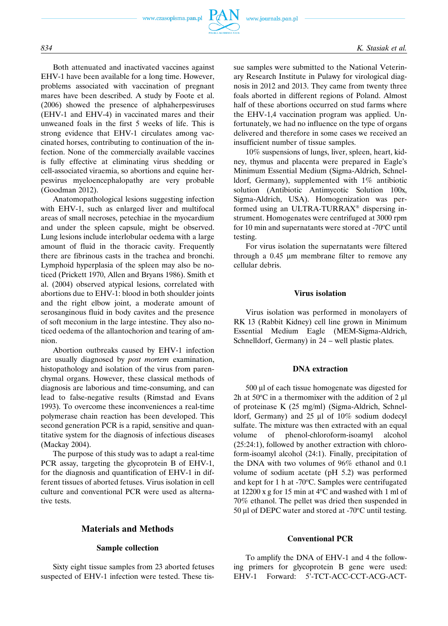

Both attenuated and inactivated vaccines against EHV-1 have been available for a long time. However, problems associated with vaccination of pregnant mares have been described. A study by Foote et al. (2006) showed the presence of alphaherpesviruses (EHV-1 and EHV-4) in vaccinated mares and their unweaned foals in the first 5 weeks of life. This is strong evidence that EHV-1 circulates among vaccinated horses, contributing to continuation of the infection. None of the commercially available vaccines is fully effective at eliminating virus shedding or cell-associated viraemia, so abortions and equine herpesvirus myeloencephalopathy are very probable (Goodman 2012).

Anatomopathological lesions suggesting infection with EHV-1, such as enlarged liver and multifocal areas of small necroses, petechiae in the myocardium and under the spleen capsule, might be observed. Lung lesions include interlobular oedema with a large amount of fluid in the thoracic cavity. Frequently there are fibrinous casts in the trachea and bronchi. Lymphoid hyperplasia of the spleen may also be noticed (Prickett 1970, Allen and Bryans 1986). Smith et al. (2004) observed atypical lesions, correlated with abortions due to EHV-1: blood in both shoulder joints and the right elbow joint, a moderate amount of serosanginous fluid in body cavites and the presence of soft meconium in the large intestine. They also noticed oedema of the allantochorion and tearing of amnion.

Abortion outbreaks caused by EHV-1 infection are usually diagnosed by *post mortem* examination, histopathology and isolation of the virus from parenchymal organs. However, these classical methods of diagnosis are laborious and time-consuming, and can lead to false-negative results (Rimstad and Evans 1993). To overcome these inconveniences a real-time polymerase chain reaction has been developed. This second generation PCR is a rapid, sensitive and quantitative system for the diagnosis of infectious diseases (Mackay 2004).

The purpose of this study was to adapt a real-time PCR assay, targeting the glycoprotein B of EHV-1, for the diagnosis and quantification of EHV-1 in different tissues of aborted fetuses. Virus isolation in cell culture and conventional PCR were used as alternative tests.

# **Materials and Methods**

#### **Sample collection**

Sixty eight tissue samples from 23 aborted fetuses suspected of EHV-1 infection were tested. These tissue samples were submitted to the National Veterinary Research Institute in Pulawy for virological diagnosis in 2012 and 2013. They came from twenty three foals aborted in different regions of Poland. Almost half of these abortions occurred on stud farms where the EHV-1,4 vaccination program was applied. Unfortunately, we had no influence on the type of organs delivered and therefore in some cases we received an insufficient number of tissue samples.

10% suspensions of lungs, liver, spleen, heart, kidney, thymus and placenta were prepared in Eagle's Minimum Essential Medium (Sigma-Aldrich, Schnelldorf, Germany), supplemented with 1% antibiotic solution (Antibiotic Antimycotic Solution 100x, Sigma-Aldrich, USA). Homogenization was performed using an ULTRA-TURRAX® dispersing instrument. Homogenates were centrifuged at 3000 rpm for 10 min and supernatants were stored at -70 $\rm ^{o}C$  until testing.

For virus isolation the supernatants were filtered through a 0.45 μm membrane filter to remove any cellular debris.

### **Virus isolation**

Virus isolation was performed in monolayers of RK 13 (Rabbit Kidney) cell line grown in Minimum Essential Medium Eagle (MEM-Sigma-Aldrich, Schnelldorf, Germany) in 24 – well plastic plates.

# **DNA extraction**

500 μl of each tissue homogenate was digested for 2h at 50 $\degree$ C in a thermomixer with the addition of 2  $\mu$ l of proteinase K (25 mg/ml) (Sigma-Aldrich, Schnelldorf, Germany) and 25 μl of 10% sodium dodecyl sulfate. The mixture was then extracted with an equal volume of phenol-chloroform-isoamyl alcohol (25:24:1), followed by another extraction with chloroform-isoamyl alcohol (24:1). Finally, precipitation of the DNA with two volumes of 96% ethanol and 0.1 volume of sodium acetate (pH 5.2) was performed and kept for 1 h at -70°C. Samples were centrifugated at 12200 x g for 15 min at  $4^{\circ}$ C and washed with 1 ml of 70% ethanol. The pellet was dried then suspended in 50 μl of DEPC water and stored at -70 $\rm ^{o}C$  until testing.

#### **Conventional PCR**

To amplify the DNA of EHV-1 and 4 the following primers for glycoprotein B gene were used: EHV-1 Forward: 5'-TCT-ACC-CCT-ACG-ACT-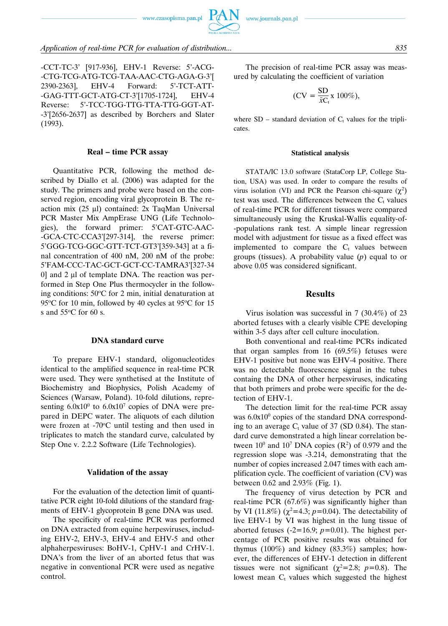

# *Application of real-time PCR for evaluation of distribution... 835*

-CCT-TC-3' [917-936], EHV-1 Reverse: 5'-ACG- -CTG-TCG-ATG-TCG-TAA-AAC-CTG-AGA-G-3'[ 2390-2363], EHV-4 Forward: 5'-TCT-ATT- -GAG-TTT-GCT-ATG-CT-3'[1705-1724], EHV-4 Reverse: 5'-TCC-TGG-TTG-TTA-TTG-GGT-AT- -3'[2656-2637] as described by Borchers and Slater (1993).

#### **Real – time PCR assay**

Quantitative PCR, following the method described by Diallo et al. (2006) was adapted for the study. The primers and probe were based on the conserved region, encoding viral glycoprotein B. The reaction mix (25 μl) contained: 2x TaqMan Universal PCR Master Mix AmpErase UNG (Life Technologies), the forward primer: 5'CAT-GTC-AAC- -GCA-CTC-CCA3'[297-314], the reverse primer: 5'GGG-TCG-GGC-GTT-TCT-GT3'[359-343] at a final concentration of 400 nM, 200 nM of the probe: 5'FAM-CCC-TAC-GCT-GCT-CC-TAMRA3'[327-34 0] and 2 μl of template DNA. The reaction was performed in Step One Plus thermocycler in the following conditions:  $50^{\circ}$ C for 2 min, initial denaturation at 95 $\rm{°C}$  for 10 min, followed by 40 cycles at 95 $\rm{°C}$  for 15 s and  $55^{\circ}$ C for 60 s.

# **DNA standard curve**

To prepare EHV-1 standard, oligonucleotides identical to the amplified sequence in real-time PCR were used. They were synthetised at the Institute of Biochemistry and Biophysics, Polish Academy of Sciences (Warsaw, Poland). 10-fold dilutions, representing  $6.0x10^0$  to  $6.0x10^7$  copies of DNA were prepared in DEPC water. The aliquots of each dilution were frozen at -70°C until testing and then used in triplicates to match the standard curve, calculated by Step One v. 2.2.2 Software (Life Technologies).

#### **Validation of the assay**

For the evaluation of the detection limit of quantitative PCR eight 10-fold dilutions of the standard fragments of EHV-1 glycoprotein B gene DNA was used.

The specificity of real-time PCR was performed on DNA extracted from equine herpesviruses, including EHV-2, EHV-3, EHV-4 and EHV-5 and other alphaherpesviruses: BoHV-1, CpHV-1 and CrHV-1. DNA's from the liver of an aborted fetus that was negative in conventional PCR were used as negative control.

The precision of real-time PCR assay was measured by calculating the coefficient of variation

$$
(CV = \frac{SD}{\bar{x}C_t} x 100\%),
$$

where  $SD$  – standard deviation of  $C_t$  values for the triplicates.

#### **Statistical analysis**

STATA/IC 13.0 software (StataCorp LP, College Station, USA) was used. In order to compare the results of virus isolation (VI) and PCR the Pearson chi-square  $(\chi^2)$ test was used. The differences between the  $C<sub>t</sub>$  values of real-time PCR for different tissues were compared simultaneously using the Kruskal-Wallis equality-of- -populations rank test. A simple linear regression model with adjustment for tissue as a fixed effect was implemented to compare the  $C_t$  values between groups (tissues). A probability value (*p*) equal to or above 0.05 was considered significant.

#### **Results**

Virus isolation was successful in 7 (30.4%) of 23 aborted fetuses with a clearly visible CPE developing within 3-5 days after cell culture inoculation.

Both conventional and real-time PCRs indicated that organ samples from 16 (69.5%) fetuses were EHV-1 positive but none was EHV-4 positive. There was no detectable fluorescence signal in the tubes containg the DNA of other herpesviruses, indicating that both primers and probe were specific for the detection of EHV-1.

The detection limit for the real-time PCR assay was  $6.0x10<sup>0</sup>$  copies of the standard DNA corresponding to an average  $C_t$  value of 37 (SD 0.84). The standard curve demonstrated a high linear correlation between  $10^0$  and  $10^7$  DNA copies (R<sup>2</sup>) of 0.979 and the regression slope was -3.214, demonstrating that the number of copies increased 2.047 times with each amplification cycle. The coefficient of variation (CV) was between 0.62 and 2.93% (Fig. 1).

The frequency of virus detection by PCR and real-time PCR (67.6%) was significantly higher than by VI (11.8%)  $(\chi^2 = 4.3; p = 0.04)$ . The detectability of live EHV-1 by VI was highest in the lung tissue of aborted fetuses  $(-2=16.9; p=0.01)$ . The highest percentage of PCR positive results was obtained for thymus (100%) and kidney (83.3%) samples; however, the differences of EHV-1 detection in different tissues were not significant ( $\chi^2$ =2.8; *p*=0.8). The lowest mean  $C_t$  values which suggested the highest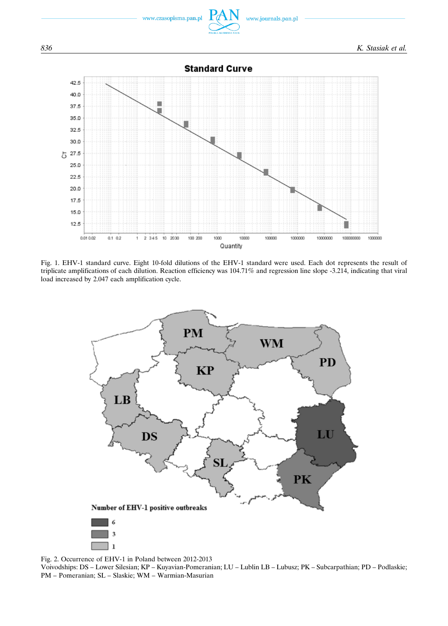

Fig. 1. EHV-1 standard curve. Eight 10-fold dilutions of the EHV-1 standard were used. Each dot represents the result of triplicate amplifications of each dilution. Reaction efficiency was 104.71% and regression line slope -3.214, indicating that viral load increased by 2.047 each amplification cycle.



Fig. 2. Occurrence of EHV-1 in Poland between 2012-2013

Voivodships: DS – Lower Silesian; KP – Kuyavian-Pomeranian; LU – Lublin LB – Lubusz; PK – Subcarpathian; PD – Podlaskie; PM – Pomeranian; SL – Slaskie; WM – Warmian-Masurian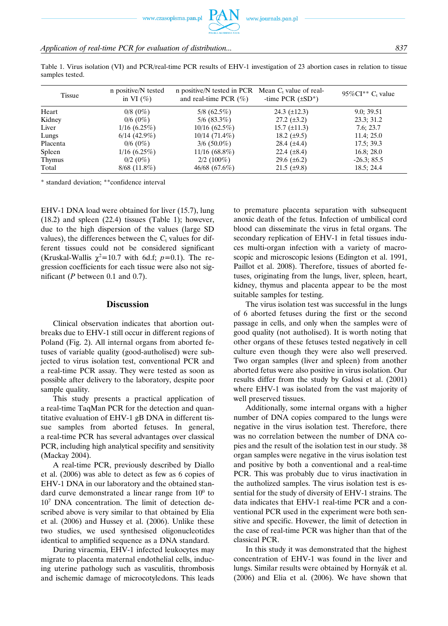Table 1. Virus isolation (VI) and PCR/real-time PCR results of EHV-1 investigation of 23 abortion cases in relation to tissue samples tested.

| <b>Tissue</b> | n positive/N tested<br>in VI $(\% )$ | n positive/N tested in PCR Mean $C_t$ value of real-<br>and real-time PCR $(\% )$ | -time PCR $(\pm SD^*)$ | $95\%$ CI <sup>**</sup> C <sub>t</sub> value |
|---------------|--------------------------------------|-----------------------------------------------------------------------------------|------------------------|----------------------------------------------|
| Heart         | $0/8$ (0%)                           | $5/8$ (62.5%)                                                                     | 24.3 $(\pm 12.3)$      | 9.0; 39.51                                   |
| Kidney        | $0/6$ (0%)                           | $5/6$ (83.3%)                                                                     | $27.2 \ (\pm 3.2)$     | 23.3; 31.2                                   |
| Liver         | $1/16$ (6.25%)                       | $10/16$ (62.5%)                                                                   | $15.7 \ (\pm 11.3)$    | 7.6; 23.7                                    |
| Lungs         | $6/14$ (42.9%)                       | $10/14$ (71.4%)                                                                   | 18.2 $(\pm 9.5)$       | 11.4; 25.0                                   |
| Placenta      | $0/6$ (0%)                           | $3/6$ (50.0%)                                                                     | 28.4 $(\pm 4.4)$       | 17.5; 39.3                                   |
| Spleen        | $1/16$ (6.25%)                       | $11/16(68.8\%)$                                                                   | 22.4 $(\pm 8.4)$       | 16.8; 28.0                                   |
| <b>Thymus</b> | $0/2$ (0%)                           | $2/2(100\%)$                                                                      | 29.6 $(\pm 6.2)$       | $-26.3; 85.5$                                |
| Total         | $8/68$ (11.8%)                       | $46/68$ (67.6%)                                                                   | $21.5 \ (\pm 9.8)$     | 18.5; 24.4                                   |

\* standard deviation; \*\*confidence interval

EHV-1 DNA load were obtained for liver (15.7), lung (18.2) and spleen (22.4) tissues (Table 1); however, due to the high dispersion of the values (large SD values), the differences between the  $C_t$  values for different tissues could not be considered significant (Kruskal-Wallis  $\chi^2$ =10.7 with 6d.f;  $p=0.1$ ). The regression coefficients for each tissue were also not significant (*P* between 0.1 and 0.7).

# **Discussion**

Clinical observation indicates that abortion outbreaks due to EHV-1 still occur in different regions of Poland (Fig. 2). All internal organs from aborted fetuses of variable quality (good-autholised) were subjected to virus isolation test, conventional PCR and a real-time PCR assay. They were tested as soon as possible after delivery to the laboratory, despite poor sample quality.

This study presents a practical application of a real-time TaqMan PCR for the detection and quantitative evaluation of EHV-1 gB DNA in different tissue samples from aborted fetuses. In general, a real-time PCR has several advantages over classical PCR, including high analytical specifity and sensitivity (Mackay 2004).

A real-time PCR, previously described by Diallo et al. (2006) was able to detect as few as 6 copies of EHV-1 DNA in our laboratory and the obtained standard curve demonstrated a linear range from  $10<sup>0</sup>$  to 107 DNA concentration. The limit of detection described above is very similar to that obtained by Elia et al. (2006) and Hussey et al. (2006). Unlike these two studies, we used synthesised oligonucleotides identical to amplified sequence as a DNA standard.

During viraemia, EHV-1 infected leukocytes may migrate to placenta maternal endothelial cells, inducing uterine pathology such as vasculitis, thrombosis and ischemic damage of microcotyledons. This leads to premature placenta separation with subsequent anoxic death of the fetus. Infection of umbilical cord blood can disseminate the virus in fetal organs. The secondary replication of EHV-1 in fetal tissues induces multi-organ infection with a variety of macroscopic and microscopic lesions (Edington et al. 1991, Paillot et al. 2008). Therefore, tissues of aborted fetuses, originating from the lungs, liver, spleen, heart, kidney, thymus and placenta appear to be the most suitable samples for testing.

The virus isolation test was successful in the lungs of 6 aborted fetuses during the first or the second passage in cells, and only when the samples were of good quality (not autholised). It is worth noting that other organs of these fetuses tested negatively in cell culture even though they were also well preserved. Two organ samples (liver and spleen) from another aborted fetus were also positive in virus isolation. Our results differ from the study by Galosi et al. (2001) where EHV-1 was isolated from the vast majority of well preserved tissues.

Additionally, some internal organs with a higher number of DNA copies compared to the lungs were negative in the virus isolation test. Therefore, there was no correlation between the number of DNA copies and the result of the isolation test in our study. 38 organ samples were negative in the virus isolation test and positive by both a conventional and a real-time PCR. This was probably due to virus inactivation in the autholized samples. The virus isolation test is essential for the study of diversity of EHV-1 strains. The data indicates that EHV-1 real-time PCR and a conventional PCR used in the experiment were both sensitive and specific. Hovewer, the limit of detection in the case of real-time PCR was higher than that of the classical PCR.

In this study it was demonstrated that the highest concentration of EHV-1 was found in the liver and lungs. Similar results were obtained by Hornyák et al. (2006) and Elia et al. (2006). We have shown that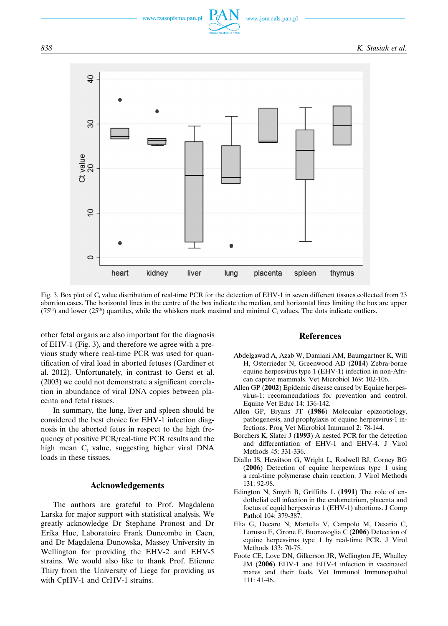*838 K. Stasiak et al.*



Fig. 3. Box plot of  $C_t$  value distribution of real-time PCR for the detection of EHV-1 in seven different tissues collected from 23 abortion cases. The horizontal lines in the centre of the box indicate the median, and horizontal lines limiting the box are upper  $(75<sup>th</sup>)$  and lower  $(25<sup>th</sup>)$  quartiles, while the whiskers mark maximal and minimal C<sub>t</sub> values. The dots indicate outliers.

other fetal organs are also important for the diagnosis of EHV-1 (Fig. 3), and therefore we agree with a previous study where real-time PCR was used for quantification of viral load in aborted fetuses (Gardiner et al. 2012). Unfortunately, in contrast to Gerst et al. (2003) we could not demonstrate a significant correlation in abundance of viral DNA copies between placenta and fetal tissues.

In summary, the lung, liver and spleen should be considered the best choice for EHV-1 infection diagnosis in the aborted fetus in respect to the high frequency of positive PCR/real-time PCR results and the high mean C<sub>t</sub> value, suggesting higher viral DNA loads in these tissues.

# **Acknowledgements**

The authors are grateful to Prof. Magdalena Larska for major support with statistical analysis. We greatly acknowledge Dr Stephane Pronost and Dr Erika Hue, Laboratoire Frank Duncombe in Caen, and Dr Magdalena Dunowska, Massey University in Wellington for providing the EHV-2 and EHV-5 strains. We would also like to thank Prof. Etienne Thiry from the University of Liege for providing us with CpHV-1 and CrHV-1 strains.

# **References**

- Abdelgawad A, Azab W, Damiani AM, Baumgartner K, Will H, Osterrieder N, Greenwood AD (**2014**) Zebra-borne equine herpesvirus type 1 (EHV-1) infection in non-African captive mammals. Vet Microbiol 169: 102-106.
- Allen GP (**2002**) Epidemic disease caused by Equine herpesvirus-1: recommendations for prevention and control. Equine Vet Educ 14: 136-142.
- Allen GP, Bryans JT (**1986**) Molecular epizootiology, pathogenesis, and prophylaxis of equine herpesvirus-1 infections. Prog Vet Microbiol Immunol 2: 78-144.
- Borchers K, Slater J (**1993**) A nested PCR for the detection and differentiation of EHV-1 and EHV-4. J Virol Methods 45: 331-336.
- Diallo IS, Hewitson G, Wright L, Rodwell BJ, Corney BG (**2006**) Detection of equine herpesvirus type 1 using a real-time polymerase chain reaction. J Virol Methods 131: 92-98.
- Edington N, Smyth B, Griffiths L (**1991**) The role of endothelial cell infection in the endometrium, placenta and foetus of equid herpesvirus 1 (EHV-1) abortions. J Comp Pathol 104: 379-387.
- Elia G, Decaro N, Martella V, Campolo M, Desario C, Lorusso E, Cirone F, Buonavoglia C (**2006**) Detection of equine herpesvirus type 1 by real-time PCR. J Virol Methods 133: 70-75.
- Foote CE, Love DN, Gilkerson JR, Wellington JE, Whalley JM (**2006**) EHV-1 and EHV-4 infection in vaccinated mares and their foals. Vet Immunol Immunopathol 111: 41-46.